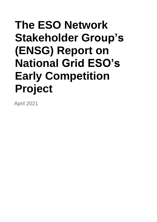# **The ESO Network Stakeholder Group's (ENSG) Report on National Grid ESO's Early Competition Project**

April 2021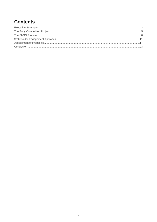# **Contents**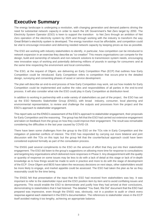# <span id="page-2-0"></span>**Executive Summary**

The energy landscape is undergoing a revolution, with changing generation and demand patterns driving the need for substantial network capacity in order to reach the UK Government's Net Zero target by 2050. The Electricity System Operator (ESO) is keen to support the transition to Net Zero through an ambition of Net Zero operation of the electricity system by 2025 and through working with the industry to transform the way Great Britain's electricity system is developed. The energy transition must be affordable, and competition could be vital to encourage innovation and delivering needed network capacity by keeping prices as low as possible.

The ESO are working with industry stakeholders to identify, in particular, how competition can be introduced to network expansion in an exercise they describe as "co-creation" This means organisations can compete for the design, build and ownership of network and non-network solutions to transmission system needs, encouraging new innovative ways of working and potentially delivering millions of pounds in savings for consumers and at the same time respecting the environment and local communities.

The ESO, at the request of Ofgem, are delivering an Early Competition Plan (ECP) that outlines how Early Competition could be introduced. Early Competition refers to competition that occurs prior to the detailed design, surveying and consenting phases of asset or service development.

The plan will describe an end-to-end process of how Early Competition may work, set out how models for Early Competition could be implemented and outline the roles and responsibilities of all parties in the end-to-end process. It will also consider what role the ESO could play in Early Competition at distribution level.

In addition to working in partnership with a wide variety of stakeholders as part of the project, the ESO has set up the ESO Networks Stakeholder Group (ENSG), with broad industry, consumer, local planning and environmental representation, to review and challenge the outputs and processes from the project and the ESO's approach to stakeholder engagement.

This report sets out the ENSG's assessment of the ESO's approach to stakeholder engagement, their proposals for Early Competition and the reasoning. The group has felt that the ESO had carried out extensive engagement and taken on feedback from the group on how they could improve their engagement. The result was remarkable considering the difficulties in the last year caused by COVID-19.

There have been some challenges from the group to the ESO on the TOs role in Early Competition and the mitigation of potential conflicts of interest. The ESO has responded by carrying out more bilateral and joint discussion with the TOs on this topic but the group felt that the counterfactual approach could have been considered explored formally as part of the consultation process.

The ENSG paid several compliments to the ESO on the amount of effort that they put into their stakeholder engagement. The ESO did listen to the group's suggestions on allowing more time for response to consultations and targeting key organisations which delivered more responses in Phase 3. Any disappointment with the quality or quantity of response on some issues may be less to do with a lack of detail at this stage or lack of in-depth knowledge as to how things would be made to work in practice and more to do with the stage of development of the ECP. Once Ofgem and BEIS have taken the necessary decisions on next steps, other stakeholders would be more likely to engage, and market appetite could be assessed. The ESO had taken the plan as far as they reasonably could for the time being.

The ENSG felt that presentation of the input that the ESO had received from stakeholders was key. It was important to refer to the stakeholder input and the ESO position item by item and to avoid conflating issues and arguments. This would enable the ESO to demonstrate and justify how they had arrived at their conclusions, demonstrating to stakeholders that it had listened. The detailed "You Said, We Did" document that the ESO had prepared was impressive, even though the ENSG was, obviously, not in a position to audit or check every response against each statement in the ESO's documentation. The references to stakeholder views in the ECP itself avoided making it too lengthy, achieving an appropriate balance.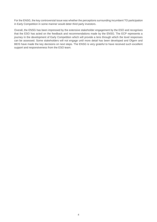For the ENSG, the key controversial issue was whether the perceptions surrounding incumbent TO participation in Early Competition in some manner would deter third party investors.

Overall, the ENSG has been impressed by the extensive stakeholder engagement by the ESO and recognises that the ESO has acted on the feedback and recommendations made by the ENSG. The ECP represents a journey in the development of Early Competition which will provide a lens through which the level responses can be assessed. Some stakeholders will not engage until more detail has been developed and Ofgem and BEIS have made the key decisions on next steps. The ENSG is very grateful to have received such excellent support and responsiveness from the ESO team.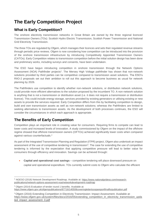# <span id="page-4-0"></span>**The Early Competition Project**

# **What is Early Competition?**

The onshore electricity transmission networks in Great Britain are owned by the three regional licenced Transmission Owners (TOs): Scottish Hydro Electric Transmission, Scottish Power Transmission and National Grid Electricity Transmission.

The three TOs are regulated by Ofgem, which manages their licences and sets their regulated revenue streams through periodic price reviews. Ofgem is now considering how competition can be introduced into the provision of the onshore transmission infrastructure by introducing Competitively Appointed Transmission Owners (CATOs). Early Competition relates to transmission competition before the initial solution design has been done and preliminary works, including surveys and consents, have been undertaken.

The ESO have begun introducing competition in onshore transmission through the Network Options Assessment (NOA) Pathfinder projects<sup>1</sup>. The Mersey High Voltage pathfinder has shown that non-network solutions provided by third parties can be competitive compared to transmission asset solutions. The ESO's RIIO-2 proposals set out their ambition to roll out this approach to become business as usual for network planning by 2026.

The Pathfinders use competition to identify whether non-network solutions, or distribution network solutions, could provide more efficient alternatives to the solution proposed by the incumbent TO. A non-network solution is anything that is not a transmission or distribution asset (i.e. it does not require a transmission or distribution licence). This could include energy storage, services provided by existing generators or utilising existing or new assets to provide the services required. Early Competition differs from this by facilitating competition to design, build and own transmission assets as well as non-network solutions; whereas the Pathfinders are limited to seeking alternatives to transmission assets. As the development of both processes continues, the ESO will consider the circumstances in which each approach is appropriate.

# **The Benefits of Early Competition**

Competition plays an important role in creating value for consumers. Requiring firms to compete can lead to lower costs and increased levels of innovation. A study commissioned by Ofgem on the impact of the offshore regime showed that offshore transmission owners (OFTOs) achieved significantly lower costs when compared against various counterfactuals. 2

As part of the Integrated Transmission Planning and Regulation (ITPR) project, Ofgem also undertook an impact assessment of the use of competitive tendering in transmission<sup>3</sup>. The case for extending the use of competitive tendering is informed by the expectation that applying competitive pressure will lead to better value for consumers through efficiency and innovation. Savings can be achieved through:

• **Capital and operational cost savings** – competitive tendering will place downward pressure on

capital and operational expenditure. TOs currently submit costs to Ofgem who calculate the efficient

<sup>&</sup>lt;sup>1</sup> NGESO (2018) Network Development Roadmap. Available at: [https://www.nationalgrideso.com/research](https://www.nationalgrideso.com/research-publications/network-options-assessment-noa/networkdevelopment-roadmap)[publications/network-options-assessment-noa/networkdevelopment-roadmap](https://www.nationalgrideso.com/research-publications/network-options-assessment-noa/networkdevelopment-roadmap)

<sup>2</sup> Ofgem (2014) Evaluation of tender round 1 benefits. Available at:

<https://www.ofgem.gov.uk/ofgempublications/87716/140508coveringlettertocepareportfinalforpublication.pdf>

<sup>&</sup>lt;sup>3</sup> Ofgem (2016) Extending Competition in Electricity Transmission: Impact Assessment. Available at: [https://www.ofgem.gov.uk/system/files/docs/2016/05/extending\\_competition\\_in\\_electricity\\_transmission\\_upda](https://www.ofgem.gov.uk/system/files/docs/2016/05/extending_competition_in_electricity_transmission_updated_impact_assessment_0.pdf) [ted\\_impact\\_assessment\\_0.pdf](https://www.ofgem.gov.uk/system/files/docs/2016/05/extending_competition_in_electricity_transmission_updated_impact_assessment_0.pdf)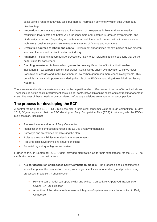costs using a range of analytical tools but there is information asymmetry which puts Ofgem at a disadvantage.

- **Innovation** competitive pressure and involvement of new parties is likely to drive innovation, resulting in lower costs and better value for consumers and, potentially, greater environmental and biodiversity protection. Depending on the tender model, there could be innovation in areas such as technology, design, supply chain management, raising of finance and operations.
- **Diversified sources of labour and capital** investment opportunities for new parties allows different sources of labour and capital to enter the industry.
- **Financing** bidders in a competitive process are likely to put forward financing solutions that deliver better value for consumers.
- **Enabling investment in low carbon generation** a significant benefit is that it will enable investment in low carbon electricity generation. Cost savings driven by innovation will drive lower transmission charges and make investment in low carbon generation more economically viable. This benefit is particularly important considering the role of the ESO in supporting Great Britain achieving Net Zero.

There are several additional costs associated with competition which offset some of the benefits outlined above. These include set up costs, procurement costs, bidder costs, network planning costs, and contract management costs. The cost of these needs to be considered before any decisions are made to run a competition.

# **The process for developing the ECP**

A central theme of the ESO RIIO-2 business plan is unlocking consumer value through competition. In May 2019, Ofgem requested that the ESO develop an Early Competition Plan (ECP) to sit alongside the ESO's business plan, including:

- Proposed scope and form of Early Competition
- Identification of competition functions the ESO is already undertaking
- Pathways and timeframes for achieving the plan
- Roles and responsibilities to underpin the arrangements
- Required legislative provisions and/or conditions
- Potential regulatory or legislative barriers.

Further to this, in September 2019 Ofgem provided clarification as to their expectations for the ECP. The clarification related to two main areas:

- 1. **A clear description of proposed Early Competition models** the proposals should consider the whole lifecycle of the competition model, from project identification to tendering and post-tendering processes. In addition, it should cover:
	- How the same model can operate with and without Competitively Approved Transmission Owner (CATO) legislation
	- An outline of the criteria to determine which types of system needs are better suited to Early **Competition**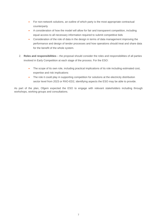- For non-network solutions, an outline of which party is the most appropriate contractual counterparty
- A consideration of how the model will allow for fair and transparent competition, including equal access to all necessary information required to submit competitive bids
- Consideration of the role of data in the design in terms of data management improving the performance and design of tender processes and how operations should treat and share data for the benefit of the whole system.
- 2. **Roles and responsibilities** the proposal should consider the roles and responsibilities of all parties involved in Early Competition at each stage of the process. For the ESO:
	- The scope of its own role, including practical implications of its role including estimated cost, expertise and risk implications
	- The role it could play in supporting competition for solutions at the electricity distribution sector level from 2023 or RIIO-ED2, identifying aspects the ESO may be able to provide.

As part of the plan, Ofgem expected the ESO to engage with relevant stakeholders including through workshops, working groups and consultations.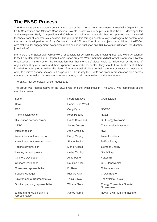# <span id="page-7-0"></span>**The ENSG Process**

The ENSG was an independent body that was part of the governance arrangements agreed with Ofgem for the Early Competition and Offshore Coordination Projects. Its role was to help ensure that the ESO developed fair and transparent Early Competition and Offshore Coordination proposals that incorporated and balanced feedback from all affected stakeholders. The group did this through constructively challenging the content and the outputs developed in the Early Competition and Offshore Coordination projects, in addition to the ESO's own stakeholder engagement. A separate report has been published on ENSG's work on Offshore Coordination [provide link].

Members of the Stakeholder Group were responsible for scrutinising and providing input and expert challenge to the Early Competition and Offshore Coordination projects. While members did not formally represent all of the organisations in their sector, the expectation was that members' views would be influenced by the type of organisation they were from, and their experience of a particular sector. They should have, to the best of their knowledge, attempted to reflect the views of as many stakeholders in their category or sector as possible in order to achieve as wide sector input as possible. This is why the ENSG has broad representation from across the industry, as well as representation of consumers, local communities and the environment.

The ENSG met periodically since August 2020.

The group was representative of the ESO's role and the wider industry. The ENSG was comprised of the members below.

| Sector                                       | Representative       | Organisation                             |
|----------------------------------------------|----------------------|------------------------------------------|
| Chair                                        | Dame Fiona Woolf     |                                          |
| <b>ESO</b>                                   | Craig Dyke           | <b>NGESO</b>                             |
| <b>Transmission owner</b>                    | <b>Hedd Roberts</b>  | <b>NGET</b>                              |
| Distribution network owner                   | Lynne Bryceland      | <b>SP Energy Networks</b>                |
| <b>OFTO</b>                                  | James Dickson        | <b>Transmission Investment</b>           |
| Interconnector                               | John Greasley        | <b>NGV</b>                               |
| Asset infrastructure investor                | Darryl Murphy        | Aviva Investors                          |
| Asset infrastructure constructor             | Simon Rooke          | <b>Balfour Beatty</b>                    |
| Technology provider                          | Marko Grizelj        | Siemens Energy                           |
| Existing service provider                    | Cathy McClay         | SembCorp                                 |
| Offshore Developer                           | <b>Andy Paine</b>    | Vattenfall                               |
| <b>Onshore Developer</b>                     | Douglas Allan        | <b>SSE Renewables</b>                    |
| Consumer representative                      | <b>Ed Rees</b>       | Citizens Advice                          |
| Seabed Manager                               | <b>Richard Clay</b>  | <b>Crown Estate</b>                      |
| <b>Environmental Representative</b>          | <b>Tania Davey</b>   | The Wildlife Trusts                      |
| Scottish planning representative             | <b>William Black</b> | Energy Consents - Scottish<br>Government |
| England and Wales planning<br>representative | <b>James Harris</b>  | Royal Town Planning Institute            |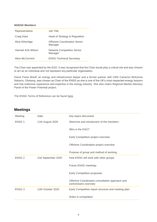#### **NGESO Members**

| Representative     | Job Title                                      |
|--------------------|------------------------------------------------|
| Craig Dyke         | Head of Strategy & Regulation                  |
| Alice Etheridge    | <b>Offshore Coordination Senior</b><br>Manager |
| Hannah Kirk-Wilson | <b>Network Competition Senior</b><br>Manager   |
| Alice McCormick    | <b>ENSG Technical Secretary</b>                |

The Chair was appointed by the ESO. It was recognised that the Chair would play a critical role and was chosen to act as an individual and not represent any particular organisation.  

Dame Fiona Woolf, an energy and infrastructure lawyer and a former partner with CMS Cameron McKenna Nabarro, Olswang, was chosen as Chair of the ENSG as she is one of the UK's most respected energy lawyers and has extensive experience and expertise in the energy industry. She also chairs Regional Market Advisory Panel of the Power Potential project.

The ENSG Terms of Reference can be found [here.](https://www.nationalgrideso.com/document/182226/download)

# **Meetings**

| Meeting           | Date               | Key topics discussed                                                    |
|-------------------|--------------------|-------------------------------------------------------------------------|
| ENSG <sub>1</sub> | 11th August 2020   | Welcome and introduction of the members                                 |
|                   |                    | Who is the ESO?                                                         |
|                   |                    | Early Competition project overview                                      |
|                   |                    | Offshore Coordination project overview                                  |
|                   |                    | Purpose of group and method of working                                  |
| <b>ENSG 2</b>     | 2nd September 2020 | How ENSG will work with other groups                                    |
|                   |                    | <b>Future ENSG meetings</b>                                             |
|                   |                    | Early Competition proposals                                             |
|                   |                    | Offshore Coordination consultation approach and<br>workstreams overview |
| ENSG <sub>3</sub> | 12th October 2020  | Early Competition report structure and meeting plan                     |
|                   |                    | Roles in competition                                                    |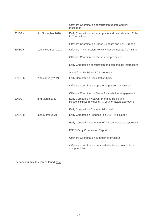|                   |                    | Offshore Coordination consultation update and key<br>messages                                           |
|-------------------|--------------------|---------------------------------------------------------------------------------------------------------|
| ENSG 4            | 3rd November 2020  | Early Competition process update and deep dive into Roles<br>in Competition                             |
|                   |                    | Offshore Coordination Phase 2 update and ENSG report                                                    |
| <b>ENSG 5</b>     | 19th November 2020 | Offshore Transmission Network Review update from BEIS                                                   |
|                   |                    | Offshore Coordination Phase 2 scope review                                                              |
|                   |                    | Early Competition consultation and stakeholder interactions                                             |
|                   |                    | Views from ENSG on ECP proposals                                                                        |
| ENSG 6            | 26th January 2021  | Early Competition Consultation Q&A                                                                      |
|                   |                    | Offshore Coordination update on position on Phase 2                                                     |
|                   |                    | Offshore Coordination Phase 1 stakeholder engagement                                                    |
| ENSG <sub>7</sub> | 2nd March 2021     | Early Competition Network Planning Roles and<br>Responsibilities (Including TO counterfactual approach) |
|                   |                    | <b>Early Competition Commercial Model</b>                                                               |
| ENSG <sub>8</sub> | 30th March 2021    | Early Competition Feedback on ECP Final Report                                                          |
|                   |                    | Early Competition summary of TO counterfactual approach                                                 |
|                   |                    | <b>ENSG Early Competition Report</b>                                                                    |
|                   |                    | Offshore Coordination summary of Phase 2                                                                |
|                   |                    | Offshore Coordination draft stakeholder approach vision<br>and principles                               |

The meeting minutes can be found [here.](https://www.nationalgrideso.com/future-energy/projects/early-competition-plan/project-documents-early-competition)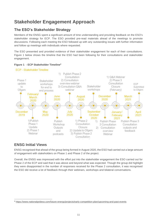# <span id="page-10-0"></span>**Stakeholder Engagement Approach**

# **The ESO's Stakeholder Strategy**

Members of the ENSG spent a significant amount of time understanding and providing feedback on the ESO's stakeholder strategy for ECP. The ESO provided pre-read materials ahead of the meetings to promote discussions. Following each meeting the ESO followed up with any outstanding issues with further information and follow up meetings with individuals where requested.

The ESO presented and provided evidence of their stakeholder engagement for each of their consultations. Figure 1 below shows the timeline that the ESO had been following for their consultations and stakeholder engagement.

# **Figure 1 - ECP Stakeholder Timeline<sup>4</sup>**



# **ENSG Initial Views**

ENSG recognised that ahead of the group being formed in August 2020, the ESO had carried out a large amount of engagement with stakeholders on Phase 1 and Phase 2 of the project.

Overall, the ENSG was impressed with the effort put into the stakeholder engagement the ESO carried out for Phase 2 of the ECP and said that it was above and beyond what was expected. Though the group did highlight they were disappointed in the number of responses received for the Phase 2 consultation, it was recognised the ESO did receive a lot of feedback through their webinars, workshops and bilateral conversations.

<sup>4</sup> <https://www.nationalgrideso.com/future-energy/projects/early-competition-plan/upcoming-and-past-events>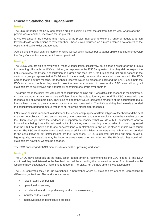# **Phase 2 Stakeholder Engagement**

# Meeting 1

The ESO introduced the Early Competition project, explaining what the ask from Ofgem was, what stage the project was at and the timescales for the project.

It was explained in the meeting that Phase 1 of the project had been to explore a range of models at a high level to decide which options to review further. Phase 2 was focussed on a more detailed development of the options and stakeholder engagement.

At this point, the ESO planned more interactive workshops in September to gather opinions and further develop the Early Competition model, which were open to all.

## Meeting 2

The ENSG was not able to review the Phase 2 consultation collectively, as it closed a week after the group's first meeting. Although the ESO explained, in response to the ENSG's question, that they did not expect the ENSG to review the Phase 2 consultation as a group and feed into it, the ESO hoped that organisations in the sectors or groups represented at ENSG would have already reviewed the consultation and replied. The ESO agreed that in a future meeting, the feedback received would be presented back and the ENSG could hold the ESO to account on how they would take the feedback forward to ensure the ESO were allowing all stakeholders to be involved and not unfairly prioritising one group over another.

The group made the point that with a lot of consultations coming out, it was difficult to respond in the timeframe, so they needed to allow stakeholders sufficient time to be able to formally respond The ESO agreed with the feedback and allowed more time. They also said that they would look at the structure of the document to make it more bitesize and to give it more visuals for the next consultation. The ESO said they had already extended the consultation period from four weeks to six following stakeholder feedback.

ENSG also said it is important to understand the reason and purpose of different types of feedback and the best channels for collecting. Consultations are very time consuming and the lone voice that can be valuable can be lost. Then, once you have the feedback it is important to consider what you do with it. Stakeholders want to know what is being done with their feedback to know they are not wasting time providing it. It was suggested that the ESO could have one-to-one conversations with stakeholders and ask if other channels were found useful. The ESO confirmed many channels were used, including bilateral conversations with all who responded to the consultation to get better insight into their responses. ENSG suggested that less but more detailed, higher quality conversations may be better in some cases or on some issues. The ESO said they could ask stakeholders how they want to be engaged.

The ESO encouraged ENSG members to attend the upcoming workshops.

# Meeting 3

The ENSG gave feedback on the consultation period timeline, recommending the ESO extend it. The ESO confirmed they had listened to the feedback and will be extending the consultation period from 6 weeks to 10 weeks to allow stakeholders more time to respond. The ENSG felt the new timeline was acceptable.

The ESO confirmed they had run workshops in September where 19 stakeholders attended representing 8 different organisations. The workshops covered:

- roles in Early Competition;
- operational incentives;
- risk allocation and post-preliminary works cost assessment:
- industry codes insights;
- indicative solution identification process;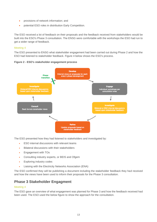- provisions of network information; and
- potential ESO roles in distribution Early Competition.

The ESO received a lot of feedback on their proposals and the feedback received from stakeholders would be built into the ESO's Phase 3 consultation. The ENSG were comfortable with the workshops the ESO had run to get a wider range of feedback.

## Meeting 4

The ESO presented to ENSG what stakeholder engagement had been carried out during Phase 2 and how the ESO had listened to stakeholder feedback. Figure 4 below shows the ESO's process.





The ESO presented how they had listened to stakeholders and investigated by:

- ESO internal discussions with relevant teams
- Bilateral discussions with their stakeholders
- Engagement with TOs
- Consulting industry experts, or BEIS and Ofgem
- Exploring industry codes
- Liaising with the Electricity Networks Association (ENA)

The ESO confirmed they will be publishing a document including the stakeholder feedback they had received and how the views have been used to inform their proposals for the Phase 3 consultation.

# **Phase 3 Stakeholder Engagment**

#### Meeting 4

The ESO gave an overview of what engagement was planned for Phase 3 and how the feedback received had been used. The ESO used the below figure to show the approach for the consultation.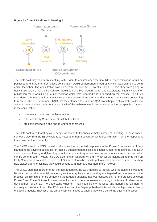### **Figure 3 - from ESO slides in Meeting 4**



The ESO said they had been speaking with Ofgem to confirm when the final RIIO-2 determinations would be published to ensure their next phase consultation would be published ahead of it, which was planned to be in early December. The consultation was planned to be open for 10 weeks. The ESO said they were going to notify stakeholders that the consultation would be going live through Twitter and newsletters. Then a week after publication there would be a launch webinar which was recorded and published on the website. The ESO considered the feedback from the ENSG that the consultations are large documents and are time consuming to reply to. The ESO informed ENSG that they planned to run some Q&A workshops to allow stakeholders to ask questions and feedback comments. Each of the webinars would be run twice, looking at specific chapters in the consultation:

- commercial model and implementation
- roles and Early Competition at distribution level
- project identification and end-to-end tender process

The ESO confirmed that they were happy for people to feedback verbally instead of in writing. In these cases, someone else from the ESO would take notes and then they will get written confirmation from the respondent that it was captured correctly.

The ENSG asked the ESO, based on the lower than expected responses to the Phase 2 consultation, if they planned to do anything additional for Phase 3 engagement to solicit additional number of responses. The ESO said they were looking at different approaches and speaking to their internal communications experts on what can be done through Twitter. The ESO also runs an Operability Forum which would include an agenda item on Early Competition. Newsletters from the ESO were also to be used to get to a wider audience as well as calling new stakeholders to ask how they could engage with them and get them more involved.

The ENSG said that in order to get the best feedback, the ESO needed to identify who the audience was and be clear on who the potential competing entities may be and ensure they are targeted and are aware of the process, as this might not be something the targeted audience has yet focussed on. For the process between Phase 2 and Phase 3, it would make sense for there to be a reassessment through the terms of reference for development of the ECP to understand whether it has been clearly identified and adhered to, as there is currently no visibility of that. The ESO said they had the Ofgem published letter which was high level in terms of specific models. They also had an advisory committee to ensure they were delivering against the scope.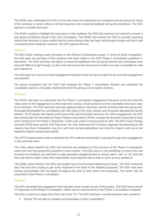The ENSG also challenged the ESO on how they know the individuals are competent and are giving the views of the company or sector without a formal response when receiving feedback during the workshops. The ESO agreed to consider that more.

The ENSG wanted to highlight the importance of the feedback the ESO had received and wanted to ensure it was being considered ahead of the next consultation. The ENSG also wanted the ESO to provide reasoning behind their decisions to give comfort that the points being made had been well thought through and that it had considered all the feedback received. The ESO agreed with this.

### Meeting 5

The fifth ENSG meeting mainly focussed on the Offshore Coordination project. In terms of Early Competition, the ESO gave an overview of their positions that were stated in the ECP Phase 3 consultation published in December. The ESO said they had taken on board the feedback from the group that the last consultation was long and difficult to get through, so they had restructured the document to make it as easy as possible to read and respond to.

The ESO gave an overview of what engagement had been done during the project so far and what engagement was planned.

The group recognised that the ESO had reviewed the Phase 3 consultation timeline and extended the consultation period to 10 weeks, thanking the ESO for giving a more realistic timeline.

## Meeting 6

The ENSG was keen to understand how the Phase 3 consultation engagement had gone so far and what the views were on the engagement as there had been various virtual sessions on the consultation that were open to its members. The ESO said they had been getting positive responses and the sessions had been going well. 65 people downloaded the consultation with 300 views of the news articles and 40 people attended the launch webinar. 20-25 people had signed up for each of the upcoming Q&A sessions. For other engagement, the ESO had worked with the International Project Finance Association (IPFA), to target the financial community as they were missing from the Phase 2 responses. Twitter was used to communicate as well. The ESO Future Energy Scenario (FES) team and the ESO Electricity Ten Year Statement (ETYS) team supported by presenting to the industry how Early Competition may fit in with their annual publications and what the impact could be on the Networks Options Assessment (NOA).

The OFTO representative said he attended the IPFA webinar and thought it was good to get more engagement in that particular area.

The Chair asked whether the ESO had received any feedback on the structure of the Phase 3 consultation report and how they posed the questions in each section. The ESO said it is not something on which they had received any feedback but had tried to make questions straight forward to answer with a "yes" or "no" and that they had tried to make it clear that respondents could respond with as little or much as they wanted to.

The ENSG asked whether the ESO had sought input from focussed infrastructure banks. The ESO confirmed they had and were hoping to get some responses from them to the detailed proposals. The ESO had been having conversations with the banks throughout the year to help inform their proposals. The banks had not responded to the Phase 2 consultation.

# Meeting 7

The ESO presented the engagement that had been done to date as part of the project. The ESO had received 12 responses to the Phase 3 consultation, which was an improvement on the Phase 2 consultation response.

The ESO carried out a deep dive of the role of the TO. The ESO had been considering three main quesitons:

• Should TOs be able to compete and participate in Early Competition?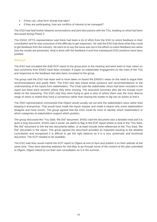- If they can, what form should that take?
- If they are participating, how are conflicts of interest to be managed?

The ESO had held further bilateral conversations and joint discussions with the TOs, building on what had been discussed during Phase 2.

The ENSG OFTO representative said there had been a lot of effort from the ESO to solicit feedback in their consultation and he was conscious of the difficulty to get responses. He said the ESO had done what they could to get feedback from the industry. He went on to say the issue was not in the efforts to solicit feedback but rather how the results are presented, what is done with the feedback it and how subsequent ESO positions have been justified.

#### Meeting 8

The ESO had circulated the draft ECP report to the group prior to the meeting and were keen to hear views on how comments from ENSG have been included. A paper on stakeholder engagement on the roles of the TOs and responses to the feedback had also been circulated to the group.

The group said the ESO had done well to have taken on board the ENSG's views on the need to argue their recommendations and justify them. The ESO had also linked those positions and recommendations to the understanding of the inputs from stakeholders. The Chair said the stakeholder views had been included in the report but there were sections where they were missing. The executive summary also did not include much detail on the reasoning. The ESO said they were trying to give a view of where there was the most diverse range of views or where they have a consensus rather than leaving the reader to dig into an annex to find it.

The DNO representative commented that Ofgem would usually set out who the stakeholders were rather than keeping it anonymous. That would have made the report sharper and made it clearer why some stakeholders disagree and have issues. The group agreed that the ESO could do more to identify which stakeholders or which categories of stakeholders support which position.

The group discussed the "You Said, We Did" document. ENSG said the document was a detailed read and it is quite a long document. ENSG said it would be useful to flag in the ECP report where to look in the "You Said, We Did" document to link the two documents better, or at least include more references to the "You Said, We Did" document in the report. The group agreed the document provided an important backing to the detailed consultation and recognised it is difficult to get the right balance as it is a very systematic and functional document. The ECP needed to be readable.

The ESO said they would submit the ECP report to Ofgem at end of April and publish it on their website at the same time. They were planning webinars for mid-May to go through some of the content of the plan submitted to Ofgem. Ofgem intend to run their own consultation on it in the summer.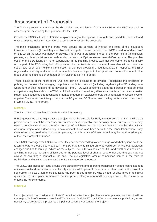# <span id="page-16-0"></span>**Assessment of Proposals**

The following section summarises the discussions and challenges from the ENSG on the ESO approach to assessing and developing their proposals for the ECP.

Overall, the ENSG felt that the ESO has explored many of the options thoroughly and used data, feedback and other examples, including international experience to assess the proposals.

The main challenges from the group were around the conflicts of interest and roles of the incumbent transmission owners (TOs) if they are allowed to compete in some manner. The ENSG asked for a "deep dive" on this which the ESO was happy to provide. There was a particular interest in the TOs role in transmission planning and how decisions are made under the Network Options Assessment (NOA) process. The possible option of the ESO taking on more responsibility in the planning process was met with some hesitance initially on the part of the ESO, citing lack of/duplication of expertise to take on the role. It was also felt that more time could have been spent exploring the option of the TOs providing a counterfactual. In response, the ESO organised an industry workshop to allow more feedback to be given to this option and produced a paper for the group detailing stakeholder engagement in relation to it in more detail.

These issues lie at the heart of the ECP and opinion is bound to be divided. Recognising the difficulties of policing the proposals for managing the potential conflicts of interest (including ring-fencing the TO bidding team where further detail remains to be developed), the ENSG was concerned about the perception that potential competitors may have about the TOs' participation in the competition, either as a counterfactual or as a market bidder, and suggested that a concerted market engagement exercise should be undertaken to assess investor appetite. The market is not likely to respond until Ofgem and BEIS have taken the key decisions as to next steps in turning the ECP into reality.

## Meeting 1

The ESO gave an overview of the ECP in the first meeting.

ENSG questioned what might cause a project to not be suitable for Early Competition. The ESO said that a project does not meet the necessary criteria where new, separable and certainty are all criteria, so there may need to be a few iterations of the NOA process before it becomes clear. It also may not meet the criteria if it is an urgent project or is further along in development. It had also been set out in the consultation where Early Competition may need to be abandoned part way through. In any of these cases it may be considered as part of the Late Competition model<sup>5</sup>.

The ENSG challenged the ESO on whether they had considered legislation changes and what options could be taken forward without these changes. The ESO said it was limited on what could be run without legislation changes and had taken legal advice on the subject. The ESO have looked at UCR and whether you could run anything under that, which is difficult due to the potential level of change post-tender and that you may not always be awarding a contract at the end. The pre-legislative form of competition comes in the form of Pathfinders and evolving them toward the Early Competition proposals.

The ENSG also raised an issue around third parties owning and operating transmission assets connected to a reticulated network as causation and liability are difficult to prove if there is an incident (even if the project is separable). The ESO confirmed this issue had been raised and there was a need for assurance of technical quality and to put in place frameworks that can provide clarity of what additional requirements there may be to enforce the right standards. 

# Meeting 2

<sup>5</sup> A project would be considered for Late Competition after the project has secured planning consent. It will be the responsibility of the relevant regional TO (National Grid, SHETL, or SPT) to undertake any preliminary works necessary to progress the project to the point of securing consent for the project.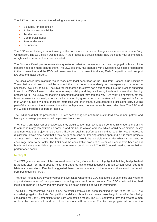The ESO led discussions on the following areas with the group:

- Suitability for competition
- Roles and responsibilities
- Tender process
- Commercial model
- Post tender award
- **Distribution**

The ESO were challenged about saying in the consultation that code changes were minor to introduce Early Competition. The ESO said it was too early in the process to discuss in detail how the codes may be impacted. A high-level assessment has been included.

The Onshore Developer representative questioned whether developers had been engaged with and if the benefits had been made clear to them. The ESO said they had engaged with developers, with some responding to the consultation, and the ESO had been clear that, in its view, introducing Early Competition could support low cost and faster delivery.

The Chair asked how planning would work post legal separation of the ESO from National Grid Electricity Transmission and how it could be ensured that it is done independently and transparently to create the necessary level playing field. The ESO replied that the TOs have had a strong input into the process but going forward the ESO will need to take on more responsibility and they are looking into how to make that planning process work. The ENSG felt that it is fundamental and that they can see why TOs might be sensitive, not the least because it is not straight forward when something goes wrong to understand who is responsible for the fault when you have two sets of assets interacting with each other. It was agreed it is difficult to carry out this part of the process without knowing that a thorough planning process review is going take place. The ESO said this will be considered as part of Phase 3.

The ENSG said that the process the ESO are considering seemed to be a standard procurement pattern and having a two-stage process would help to resolve issues.

The Asset Contractor representative said they would support not having a bid bond at this stage as the aim is to attract as many competitors as possible and bid bonds always add cost which would deter bidders. A key argument was that project funders would likely be requiring performance bonding, and this would represent duplication. It was discussed that it may be good to consider keeping options open and if it is found projects are not moving fast enough over the first few years, it would be possible to consider what can be used to encourage them to be faster. The ESO said the consultation was not as clear as it could have been on bid bonds and there was little support for performance bonds as well. The ESO would need to retest bid vs performance bonds.

#### Meeting 3

The ESO gave an overview of the proposed roles for Early Competition and highlighted that they had published a thought paper on the proposed roles and gathered stakeholder feedback through written responses and bilateral conversations. Feedback suggested there was some overlap of the roles and there would be benefit from being defined further.

The Asset Infrastructure Investor representative asked whether the ESO had looked at examples elsewhere to support development of their proposals, including networks in other sectors. The ESO confirmed they had looked at Thames Tideway and how that is set up as an example as well as Pathfinders.

The OFTO representative asked if any potential conflicts had been identified in the roles the ESO are considering against the Late Competition model as it is not clear how a project might transition from being considered for Early Competition to the Late Competition model. The ESO confirmed they had created a map of how the process will work and how decisions will be made. The first stage gate will require the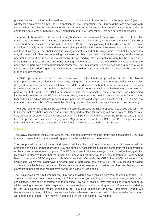planning bodies to decide on the need and as part of that there will be a decision by the Approver, Ofgem, on whether the project will go into Early Competition or Late Competition. The ESO said they are discussing with Ofgem what the roles for Late Competition are. It was felt the issue is that the TO moves from bidder to contracting counterparty between Early Competition and Late Competition. This has not been addressed.

The group challenged the ESO on whether they had considered what would be required for the ESO to be able to take a greater role in the transmission planning process leading to Early Competition themselves. The ESO said it had been considered as an option, but the TOs have other planning functions based on their licence conditions (notably asset health and new connections) and if the ESO perform this role there may be duplication and loss of synergies. The ENSG said this is a key contentious part of the programme. If the ESO recommends they do more of it, they are increasing their role, but they have their own interest at play as the system operator. Equally, there is a clear conflict where TOs are bidding into a competition when they have had a role in designing what is to be competed in the planning phase. But part of the role of the ENSG was to input on the need ensure there was a fair and transparent process. The ENSG wanted to see views and arguments of what would be put forward to Ofgem, particularly from stakeholders. It was agreed that this needed to be discussed further in future meetings.

The DNO representative said the ESO needed to consider the fact that the proposal that TOs should be allowed to compete as any other bidder was essentially taking the TO out of the regulatory framework in which it was designed to operate  and questioned if this would deliver additional cost benefit to the end consumer. This was felt to be an issue which had not been considered as no cost benefit analysis exercise had been undertaken as part of the ECP work. The DNO representative said the organisation they represented was becoming increasingly nervous that the ESO, as a licenced entity, was consulting on the roles and responsibilities of other licenced entities, which included proposing to expand the roles and responsibilities of the ESO itself (in order to manage potential conflicts of interest in the planning process, that would identify what was to be competed).

The group felt the role of the ENSG was to make sure the process the ESO proposes is balanced and fair. The ESO were asked what processes and controls they had in place for carrying out consultations; Ofgem have very strict processes on managing consultations. The ESO said Ofgem would see the ENSG as a key part of the ESO process on stakeholder engagement. Ofgem had also asked the ESO to do QA on the process and then said that Ofgem is planning on scrutinising how the ESO had carried out this process.

#### Meeting 4

The ENSG challenged the ESO on whether they planned to provide reasons for the decisions and the ESO said that the consultation document would signpost how the decisions had been made.

The group said the risk allocation and operational incentives will determine what type of investors will be attracted and asked to what degree the ESO had done any assessment into that in comparing the counterfactual of the current arrangements in place. The ESO said that in the early stages they looked at having similar incentives in place to those that the onshore TOs have but felt they would be less appropriate. So, they had been looking at the OFTO regime and Pathfinder regimes. Currently, the OFTO floor is 90%, whereas in the Pathfinders, where you might have a different type of participant, the floor is 0%. The ESO looked at having something similar but as there are different investors, they needed to consider the floor and having some elements of these regimes for incentive design on a case-by-case basis.

The ENSG asked the ESO whether the ESO had considered risk allocation between the consumer and TOs. The ESO said it was not something they had fully considered yet and they would consider it as part of the next consultation. They had not started with the existing RIIO risk allocation, they were building it from bottom up whilst keeping an eye on OFTO regimes and current regime as well as looking at what Ofgem are considering for the Late Competition model. When they get to a built-up position for Early Competition, Ofgem will demonstrate what they think is an appropriate balance between consumers and bidders to make the process work at an earlier stage. Then they will need to look at that against the RIIO regime.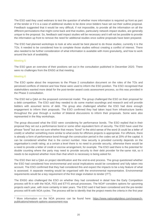The ESO said they used webinars to test the question of whether more information is required up front as part of the tender or if it is a case of additional studies to be done once bidders have set out their outline proposal. Feedback suggested that it would be very difficult, if not impossible, to provide all the information on all the different permutations that might come back and that studies, particularly network impact studies, are generally unique to the proposal. So, feedback said impact studies will be necessary and it will not be possible to provide the information up front to remove the need for additional studies once outline proposals have been prepared.

The ESO had planned workshops to look at who would be best placed to do those studies; currently it is the TOs. It needed to be considered how to complete those studies without creating a conflict of interest. There also needed to be further consideration of what information is available with more granularity, and how to work around the lack of availability.

#### Meeting 5

The ESO gave an overview of their positions set out in the consultation published in December 2020. There were no challenges from the ENSG at that meeting.

## Meeting 6

The ESO spoke about the responses to the Phase 2 consultation document on the roles of the TOs and perceived conflicts of interest and how these were used to inform the ESO position. The ESO recognised that stakeholders wanted more detail for the post-tender award costs assessment process, so this was provided in the Phase 3 consultation.

The ESO led a Q&A on the proposed commercial model. The group challenged the ESO on their proposal for a debt competition. The ESO said they needed to do some market soundings and research and will provide bidders with assumed terms of debt. The group also challenged whether the ESO had done enough engagement to inform their proposals. The ESO confirmed they had taken input from infrastructure banks throughout the year through a number of bilateral discussions to inform their proposals. Some were also represented in the May workshops.

The group discussed what the ESO were considering for performance bonds. The ESO replied that in their proposal they set out a performance bond or some other equivalent form of security. The ESO have used the phrase "bond" but are not sure whether that means "bond" in the strict sense of the word (it could be a letter of credit) or whether something more similar to what exists for offshore projects is appropriate. For offshore, there is already a form of performance bond through the construction period in the codes set at 20% of the capital. It can be considered whether that is the correct number. How security is provided currently depends on the organisation's credit rating; at a certain a level there is no need to provide security, otherwise there would be a need to provide a letter of credit or escrow arrangement, for example. The ESO said there is the potential for double counting where the party may need to provide security to their debt provider for the same risk, so it needs to be explored whether more than that which is necessary is being asked for.

The ESO then led a Q&A on project identification and the end-to-end process. The group questioned whether the ESO had considered how environmental and social implications would be considered and fully taken into account. The ESO confirmed that they had considered this and expect the impacts to be a key feature of what is assessed. A separate meeting would be organised with the environmental representative. Environmental requirements would be a key requirement of the first stage invitation to tender (ITT).

The ENSG also challenged the ESO on whether they had considered in detail how the Early Competition process will fit in with the NOA, FES and ETYS annual processes. The NOA<sup>6</sup> considers options for upcoming projects each year, with more certainty in later years. The ESO said it had been considered and the pre-tender process will fit with NOA cycles. The process will be to identify that the project meets the criteria in the first year

<sup>6</sup> More information on the NOA process can be found here: [https://www.nationalgrideso.com/research](https://www.nationalgrideso.com/research-publications/network-options-assessment-noa)[publications/network-options-assessment-noa](https://www.nationalgrideso.com/research-publications/network-options-assessment-noa)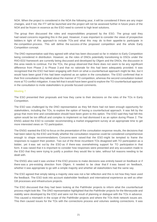NOA. When the project is considered in the NOA the following year, it will be considered if there are any major changes, and if not, the ITT will be launched and the project will not be assessed further in future years of the NOA and be frozen in essence as the ESO need to commit to high level solutions.

The group then discussed the roles and responsibilities proposed by the ESO. The group said they had raised concerns regarding this in the past. However, it was important to consider the views of prospective bidders in light of this approach to include TOs and what this may do to their appetite to participate in the competition process. This will define the success of the proposed competition and the whole Early Competition concept.

The DNO representative said they agreed with what has been discussed so far in relation to Early Competition being considered in distribution. However, as the roles of DNOs potentially transitioning to DSOs under the RIIO-ED2 framework are currently being discussed and developed by Ofgem and the DNOs, the discussion in this area needs to continue. For the TOs, the group observed that there does not seem to be any significant difference from Phase 2 to Phase 3 and that no rationale for this had been adequately provided. It was recognised that the ESO had been engaging with them on what a counterfactual approach might be like, but it would have been good if this had been explored as an option in the consultation. The ESO confirmed that in their first consultation they talked about the manner of TO competition, whereas the second consultation looked more at TO conflict mitigation. It was felt that it would have been good to explore the TO counterfactual approach in the consultation to invite stakeholders to provide focused comments.

#### Meeting 7

The ESO presented their proposals and how they came to their decisions on the roles of the TOs in Early Competition.

The ESO was challenged by the DNO representative as they felt there had not been enough opportunity for stakeholders, including the TOs, to explore the option of having a counterfactual approach. It was felt by the group that more time and consideration should have been given to this option. The ESO said they had felt this option would be too difficult and complex to implement so had dismissed it as an option during Phase 2. The ENSG asked the ESO to consider recommending a market engagement survey at an appropriate time to get more interested views on TO participation.

The ENSG wanted the ESO to focus on the presentation of the consultation response results, the decisions that had been taken by the ESO and finally whether the consultation response could be considered comprehensive enough to shape recommendations. Concerns were raised that the ESO might be tempted to frame the responses to support their position. Two out of the three incumbent TOs disagreed with TO participation as a bidder, yet it was set out by the ESO as if there was overwhelming support for TO participation in that form. It was raised that it is important to consider how responses were presented and any accusation made to the ESO that they were trying to justify a position they would like to take, without full reasons needing to be dealt with.

The ENSG also said it was unclear if the ESO process to make decisions was entirely based on feedback or if there was a pre-existing direction from Ofgem. It needed to be clear that if it was based on feedback, whether it was appropriate to go with a simple majority and whether all stakeholders had the same say.

The ESO agreed that simply taking a majority view was not a fair reflection and this is not how they have used the feedback. The ESO took into account stakeholder feedback and international experience as well as other GB processes and infrastructure projects.

The ESO discussed that they had been looking at the Pathfinder projects to inform what the counterfactual process might look like. The DNO representative highlighted that the Pathfinder projects for the Merseyside and stability were developed by the ESO and were not the result of planning or dialogue with the TOs in advance. This caused a mismatch in the scope of the Pathfinder projects and where the TOs think network issues are. This then caused issues for the TOs with the connections process and volumes seeking connections. It was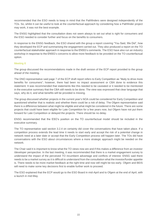recommended that the ESO needs to keep in mind that the Pathfinders were designed independently of the TOs. So, whilst it can be useful to look at the counterfactual approach by considering how a Pathfinder project may work, it was not the best example.

The ENSG highlighted that the consultation does not seem always to set out what is right for consumers and the ESO needed to consider further and focus on the benefits to consumers.

In response to the ENSG feedback, the ESO shared with the group a report covering "You Said, We Did", how they developed the ECP and summarising the engagement carried out. They also produced a report on the TO counterfactual stakeholder approach in response to the ENSG's comments. The ESO have also run an industry workshop in response to the ENSG's concerns to allow more feedback to be provided on the TO counterfactual option.

## Meeting 8

The group discussed the recommendations made in the draft version of the ECP report provided to the group ahead of the meeting.

The DNO representative said page 7 of the ECP draft report refers to Early Competition as "likely to drive more benefits for consumers"; however, there had been no impact assessment or CBA done to evidence this statement. It was recommended that statements like this needed to be caveated or it needed to be mentioned in the executive summary that the CBA still needs to be done. The view was expressed that clear language that says, why do it, and what benefits will be provided is missing.

The group discussed whether projects in the current year's NOA could be considered for Early Competition and questioned whether that is realistic and whether there could be a risk of delay. The Ofgem representative said there is a difference between what might be eligible and what might be considered in the future. There are some projects that could have been eligible for Late Competition for a few years now, but Ofgem have not put them forward for Late Competition or delayed the projects. There should be no delay.

ENSG recommended that the ESO's position on the TO counterfactual model should be included in the executive summary.

The TO representative said section 3.2.4 on certainty did cover the conversations that have taken place. If a competition process extends the lead time it needs to start early and accept the risk of a potential change in network need at a later date or accept that the Early Competition process will happen later. The TOs did have conversations with the ESO about circumstances where a more strategic approach might be needed on the network.

The Chair said it is important to know what the TO views now are and if this makes a difference from an investor /developer perspective. In the last meeting, it was recommended that there is a market engagement survey to understand the impact of the perceived TO incumbent advantage and conflicts of interest. ENSG said there needs to be a market survey as it is difficult to understand from the consultation what the investor/funder appetite is. There needs to be more market feedback at the right time and now still might be too early. Ofgem and BEIS will need to make some key decisions first to enable further work to proceed.

The ESO explained that the ECP would go to the ESO Board in mid-April and to Ofgem at the end of April, with a launch in mid-May.